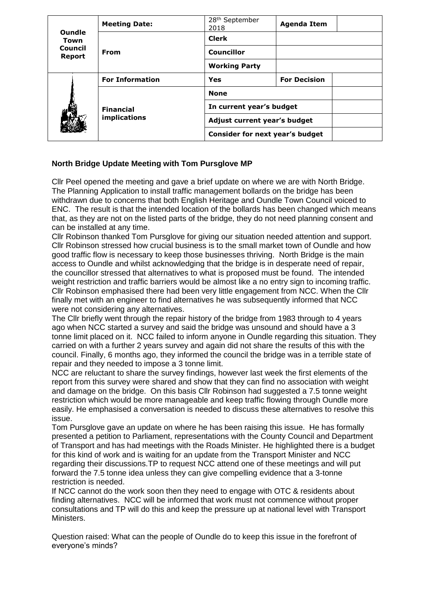| <b>Oundle</b><br>Town<br>Council<br><b>Report</b> | <b>Meeting Date:</b>             | 28 <sup>th</sup> September<br>2018 | <b>Agenda Item</b>  |
|---------------------------------------------------|----------------------------------|------------------------------------|---------------------|
|                                                   | From                             | <b>Clerk</b>                       |                     |
|                                                   |                                  | <b>Councillor</b>                  |                     |
|                                                   |                                  | <b>Working Party</b>               |                     |
|                                                   | <b>For Information</b>           | Yes                                | <b>For Decision</b> |
|                                                   | <b>Financial</b><br>implications | <b>None</b>                        |                     |
|                                                   |                                  | In current year's budget           |                     |
|                                                   |                                  | Adjust current year's budget       |                     |
|                                                   |                                  | Consider for next year's budget    |                     |

## **North Bridge Update Meeting with Tom Pursglove MP**

Cllr Peel opened the meeting and gave a brief update on where we are with North Bridge. The Planning Application to install traffic management bollards on the bridge has been withdrawn due to concerns that both English Heritage and Oundle Town Council voiced to ENC. The result is that the intended location of the bollards has been changed which means that, as they are not on the listed parts of the bridge, they do not need planning consent and can be installed at any time.

Cllr Robinson thanked Tom Pursglove for giving our situation needed attention and support. Cllr Robinson stressed how crucial business is to the small market town of Oundle and how good traffic flow is necessary to keep those businesses thriving. North Bridge is the main access to Oundle and whilst acknowledging that the bridge is in desperate need of repair, the councillor stressed that alternatives to what is proposed must be found. The intended weight restriction and traffic barriers would be almost like a no entry sign to incoming traffic. Cllr Robinson emphasised there had been very little engagement from NCC. When the Cllr finally met with an engineer to find alternatives he was subsequently informed that NCC were not considering any alternatives.

The Cllr briefly went through the repair history of the bridge from 1983 through to 4 years ago when NCC started a survey and said the bridge was unsound and should have a 3 tonne limit placed on it. NCC failed to inform anyone in Oundle regarding this situation. They carried on with a further 2 years survey and again did not share the results of this with the council. Finally, 6 months ago, they informed the council the bridge was in a terrible state of repair and they needed to impose a 3 tonne limit.

NCC are reluctant to share the survey findings, however last week the first elements of the report from this survey were shared and show that they can find no association with weight and damage on the bridge. On this basis Cllr Robinson had suggested a 7.5 tonne weight restriction which would be more manageable and keep traffic flowing through Oundle more easily. He emphasised a conversation is needed to discuss these alternatives to resolve this issue.

Tom Pursglove gave an update on where he has been raising this issue. He has formally presented a petition to Parliament, representations with the County Council and Department of Transport and has had meetings with the Roads Minister. He highlighted there is a budget for this kind of work and is waiting for an update from the Transport Minister and NCC regarding their discussions.TP to request NCC attend one of these meetings and will put forward the 7.5 tonne idea unless they can give compelling evidence that a 3-tonne restriction is needed.

If NCC cannot do the work soon then they need to engage with OTC & residents about finding alternatives. NCC will be informed that work must not commence without proper consultations and TP will do this and keep the pressure up at national level with Transport Ministers.

Question raised: What can the people of Oundle do to keep this issue in the forefront of everyone's minds?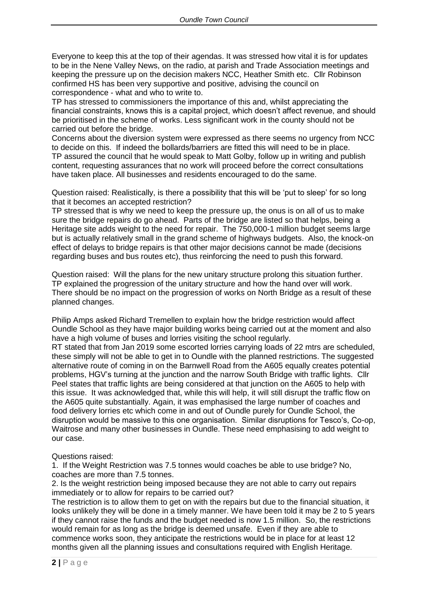Everyone to keep this at the top of their agendas. It was stressed how vital it is for updates to be in the Nene Valley News, on the radio, at parish and Trade Association meetings and keeping the pressure up on the decision makers NCC, Heather Smith etc. Cllr Robinson confirmed HS has been very supportive and positive, advising the council on correspondence - what and who to write to.

TP has stressed to commissioners the importance of this and, whilst appreciating the financial constraints, knows this is a capital project, which doesn't affect revenue, and should be prioritised in the scheme of works. Less significant work in the county should not be carried out before the bridge.

Concerns about the diversion system were expressed as there seems no urgency from NCC to decide on this. If indeed the bollards/barriers are fitted this will need to be in place. TP assured the council that he would speak to Matt Golby, follow up in writing and publish content, requesting assurances that no work will proceed before the correct consultations have taken place. All businesses and residents encouraged to do the same.

Question raised: Realistically, is there a possibility that this will be 'put to sleep' for so long that it becomes an accepted restriction?

TP stressed that is why we need to keep the pressure up, the onus is on all of us to make sure the bridge repairs do go ahead. Parts of the bridge are listed so that helps, being a Heritage site adds weight to the need for repair. The 750,000-1 million budget seems large but is actually relatively small in the grand scheme of highways budgets. Also, the knock-on effect of delays to bridge repairs is that other major decisions cannot be made (decisions regarding buses and bus routes etc), thus reinforcing the need to push this forward.

Question raised: Will the plans for the new unitary structure prolong this situation further. TP explained the progression of the unitary structure and how the hand over will work. There should be no impact on the progression of works on North Bridge as a result of these planned changes.

Philip Amps asked Richard Tremellen to explain how the bridge restriction would affect Oundle School as they have major building works being carried out at the moment and also have a high volume of buses and lorries visiting the school regularly.

RT stated that from Jan 2019 some escorted lorries carrying loads of 22 mtrs are scheduled, these simply will not be able to get in to Oundle with the planned restrictions. The suggested alternative route of coming in on the Barnwell Road from the A605 equally creates potential problems, HGV's turning at the junction and the narrow South Bridge with traffic lights. Cllr Peel states that traffic lights are being considered at that junction on the A605 to help with this issue. It was acknowledged that, while this will help, it will still disrupt the traffic flow on the A605 quite substantially. Again, it was emphasised the large number of coaches and food delivery lorries etc which come in and out of Oundle purely for Oundle School, the disruption would be massive to this one organisation. Similar disruptions for Tesco's, Co-op, Waitrose and many other businesses in Oundle. These need emphasising to add weight to our case.

## Questions raised:

1. If the Weight Restriction was 7.5 tonnes would coaches be able to use bridge? No, coaches are more than 7.5 tonnes.

2. Is the weight restriction being imposed because they are not able to carry out repairs immediately or to allow for repairs to be carried out?

The restriction is to allow them to get on with the repairs but due to the financial situation, it looks unlikely they will be done in a timely manner. We have been told it may be 2 to 5 years if they cannot raise the funds and the budget needed is now 1.5 million. So, the restrictions would remain for as long as the bridge is deemed unsafe. Even if they are able to commence works soon, they anticipate the restrictions would be in place for at least 12 months given all the planning issues and consultations required with English Heritage.